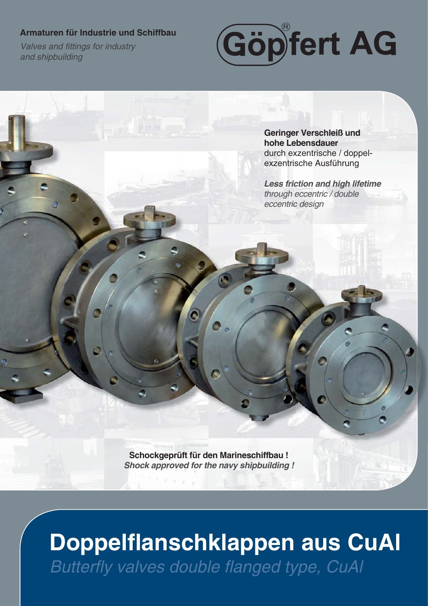#### **Armaturen für Industrie und Schiffbau**

**Valves and fittings for industry** *and shipbuilding*



**Geringer Verschleiß und hohe Lebensdauer**  durch exzentrische / doppelexzentrische Ausführung

*Less friction and high lifetime through eccentric / double eccentric design*

**Schockgeprüft für den Marineschiffbau !** *Shock approved for the navy shipbuilding !*

# Doppelflanschklappen aus CuAl **Butterfly valves double flanged type, CuAI**